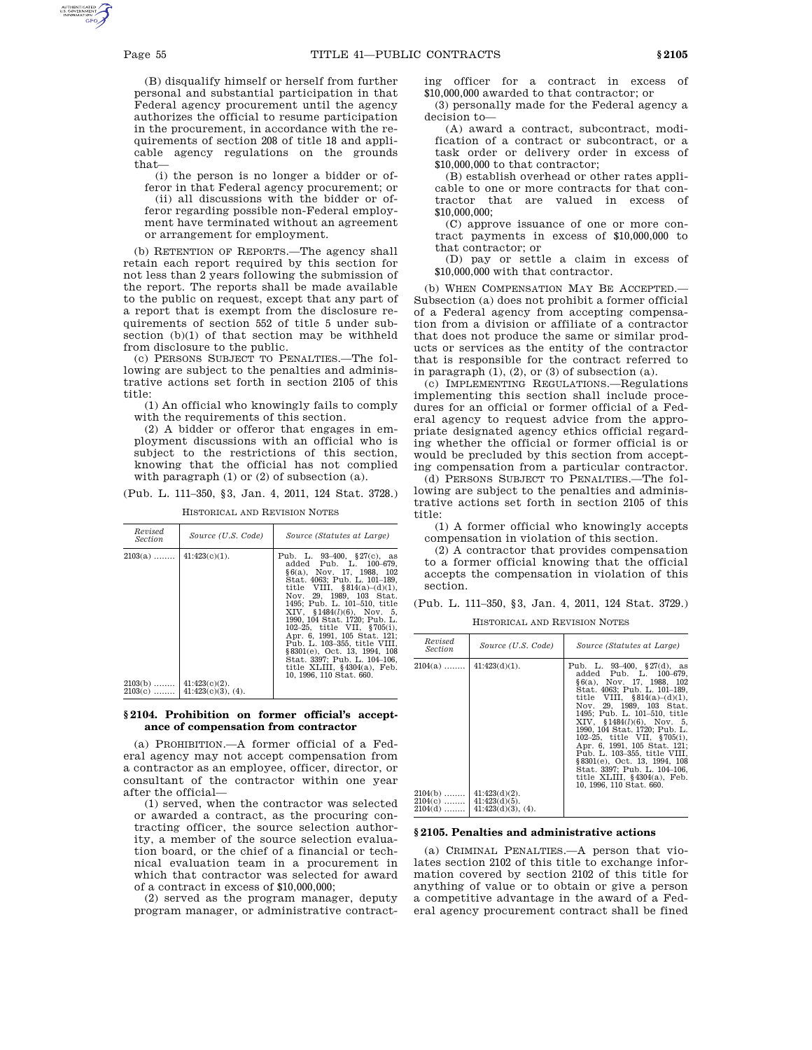(B) disqualify himself or herself from further personal and substantial participation in that Federal agency procurement until the agency authorizes the official to resume participation in the procurement, in accordance with the requirements of section 208 of title 18 and applicable agency regulations on the grounds that—

(i) the person is no longer a bidder or offeror in that Federal agency procurement; or

(ii) all discussions with the bidder or offeror regarding possible non-Federal employment have terminated without an agreement or arrangement for employment.

(b) RETENTION OF REPORTS.—The agency shall retain each report required by this section for not less than 2 years following the submission of the report. The reports shall be made available to the public on request, except that any part of a report that is exempt from the disclosure requirements of section 552 of title 5 under subsection (b)(1) of that section may be withheld from disclosure to the public.

(c) PERSONS SUBJECT TO PENALTIES.—The following are subject to the penalties and administrative actions set forth in section 2105 of this title:

(1) An official who knowingly fails to comply with the requirements of this section.

(2) A bidder or offeror that engages in employment discussions with an official who is subject to the restrictions of this section, knowing that the official has not complied with paragraph (1) or (2) of subsection (a).

(Pub. L. 111–350, §3, Jan. 4, 2011, 124 Stat. 3728.)

| Revised<br>Section                  | Source (U.S. Code)                                         | Source (Statutes at Large)                                                                                                                                                                                                                                                                                                                                                                                                                                                                                             |
|-------------------------------------|------------------------------------------------------------|------------------------------------------------------------------------------------------------------------------------------------------------------------------------------------------------------------------------------------------------------------------------------------------------------------------------------------------------------------------------------------------------------------------------------------------------------------------------------------------------------------------------|
| $2103(a)$<br>$2103(b)$<br>$2103(c)$ | $41:423(c)(1)$ .<br>$41:423(c)(2)$ .<br>41:423(c)(3), (4). | Pub. L. $93-400$ , $$27(c)$ , as<br>added Pub. L. 100-679.<br>$§6(a)$ , Nov. 17, 1988, 102<br>Stat. 4063: Pub. L. 101–189.<br>title VIII, $$814(a)-(d)(1)$ ,<br>Nov. 29, 1989, 103 Stat.<br>1495: Pub. L. 101–510. title<br>$XIV, \$1484(l)(6), Nov. 5,$<br>1990, 104 Stat. 1720; Pub. L.<br>102-25, title VII, §705(i).<br>Apr. 6, 1991, 105 Stat. 121;<br>Pub. L. 103-355, title VIII,<br>§8301(e), Oct. 13, 1994, 108<br>Stat. 3397: Pub. L. 104-106.<br>title XLIII, $§4304(a)$ , Feb.<br>10, 1996, 110 Stat, 660. |
|                                     |                                                            |                                                                                                                                                                                                                                                                                                                                                                                                                                                                                                                        |

HISTORICAL AND REVISION NOTES

## **§ 2104. Prohibition on former official's acceptance of compensation from contractor**

(a) PROHIBITION.—A former official of a Federal agency may not accept compensation from a contractor as an employee, officer, director, or consultant of the contractor within one year after the official—

(1) served, when the contractor was selected or awarded a contract, as the procuring contracting officer, the source selection authority, a member of the source selection evaluation board, or the chief of a financial or technical evaluation team in a procurement in which that contractor was selected for award of a contract in excess of \$10,000,000;

(2) served as the program manager, deputy program manager, or administrative contracting officer for a contract in excess of \$10,000,000 awarded to that contractor; or

(3) personally made for the Federal agency a decision to—

(A) award a contract, subcontract, modification of a contract or subcontract, or a task order or delivery order in excess of \$10,000,000 to that contractor;

(B) establish overhead or other rates applicable to one or more contracts for that contractor that are valued in excess of \$10,000,000;

(C) approve issuance of one or more contract payments in excess of \$10,000,000 to that contractor; or

(D) pay or settle a claim in excess of \$10,000,000 with that contractor.

(b) WHEN COMPENSATION MAY BE ACCEPTED.— Subsection (a) does not prohibit a former official of a Federal agency from accepting compensation from a division or affiliate of a contractor that does not produce the same or similar products or services as the entity of the contractor that is responsible for the contract referred to in paragraph  $(1)$ ,  $(2)$ , or  $(3)$  of subsection  $(a)$ .

(c) IMPLEMENTING REGULATIONS.—Regulations implementing this section shall include procedures for an official or former official of a Federal agency to request advice from the appropriate designated agency ethics official regarding whether the official or former official is or would be precluded by this section from accepting compensation from a particular contractor.

(d) PERSONS SUBJECT TO PENALTIES.—The following are subject to the penalties and administrative actions set forth in section 2105 of this title:

(1) A former official who knowingly accepts compensation in violation of this section.

(2) A contractor that provides compensation to a former official knowing that the official accepts the compensation in violation of this section.

(Pub. L. 111–350, §3, Jan. 4, 2011, 124 Stat. 3729.)

HISTORICAL AND REVISION NOTES

| Revised<br>Section                                               | Source (U.S. Code)                                         | Source (Statutes at Large)                                                                                                                                                                                                                                                                                                                                                                                                                                                                                             |
|------------------------------------------------------------------|------------------------------------------------------------|------------------------------------------------------------------------------------------------------------------------------------------------------------------------------------------------------------------------------------------------------------------------------------------------------------------------------------------------------------------------------------------------------------------------------------------------------------------------------------------------------------------------|
| $2104(a)$   41:423(d)(1).<br>$2104(b)$<br>$2104(c)$<br>$2104(d)$ | $41:423(d)(2)$ .<br>$41:423(d)(5)$ .<br>41:423(d)(3), (4). | Pub. L. 93-400, $\S 27(d)$ , as<br>added Pub. L. 100-679.<br>$§ 6(a)$ , Nov. 17, 1988, 102<br>Stat. 4063: Pub. L. 101-189.<br>title VIII, $$814(a)-(d)(1)$ ,<br>Nov. 29, 1989, 103 Stat.<br>1495: Pub. L. 101-510. title<br>$XIV, \$1484(l)(6), Nov. 5,$<br>1990. 104 Stat. 1720: Pub. L.<br>102-25, title VII, §705(i),<br>Apr. 6, 1991, 105 Stat. 121;<br>Pub. L. 103-355, title VIII,<br>§8301(e), Oct. 13, 1994, 108<br>Stat. 3397: Pub. L. 104-106.<br>title XLIII, $§4304(a)$ , Feb.<br>10, 1996, 110 Stat, 660. |

## **§ 2105. Penalties and administrative actions**

(a) CRIMINAL PENALTIES.—A person that violates section 2102 of this title to exchange information covered by section 2102 of this title for anything of value or to obtain or give a person a competitive advantage in the award of a Federal agency procurement contract shall be fined